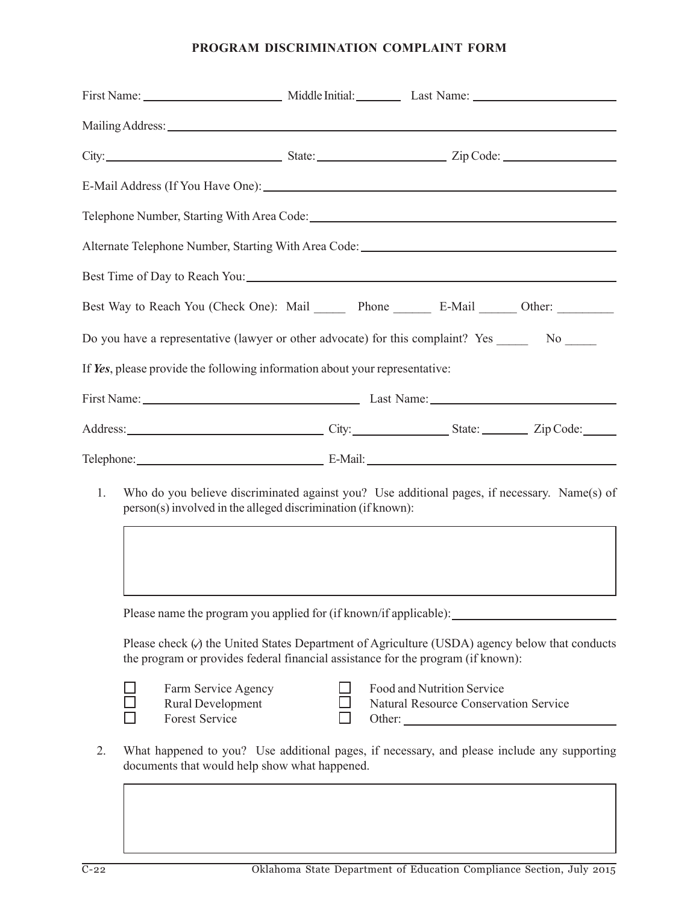# **PROGRAM DISCRIMINATION COMPLAINT FORM**

|                            | First Name: Middle Initial: Last Name: Last Name:                                                                                                                                    |  |                                                                     |  |  |
|----------------------------|--------------------------------------------------------------------------------------------------------------------------------------------------------------------------------------|--|---------------------------------------------------------------------|--|--|
|                            |                                                                                                                                                                                      |  |                                                                     |  |  |
|                            |                                                                                                                                                                                      |  |                                                                     |  |  |
|                            |                                                                                                                                                                                      |  |                                                                     |  |  |
|                            |                                                                                                                                                                                      |  |                                                                     |  |  |
|                            |                                                                                                                                                                                      |  |                                                                     |  |  |
|                            |                                                                                                                                                                                      |  |                                                                     |  |  |
|                            | Best Way to Reach You (Check One): Mail Phone F-Mail B-Mail Cher:                                                                                                                    |  |                                                                     |  |  |
|                            | Do you have a representative (lawyer or other advocate) for this complaint? Yes ________ No ______                                                                                   |  |                                                                     |  |  |
|                            | If Yes, please provide the following information about your representative:                                                                                                          |  |                                                                     |  |  |
|                            |                                                                                                                                                                                      |  |                                                                     |  |  |
|                            |                                                                                                                                                                                      |  |                                                                     |  |  |
| Telephone: E-Mail: E-Mail: |                                                                                                                                                                                      |  |                                                                     |  |  |
| 1.                         | Who do you believe discriminated against you? Use additional pages, if necessary. Name(s) of<br>person(s) involved in the alleged discrimination (if known):                         |  |                                                                     |  |  |
|                            | Please name the program you applied for (if known/if applicable): ________<br>Please check $(\lambda)$ the United States Department of Agriculture (USDA) agency below that conducts |  |                                                                     |  |  |
|                            | the program or provides federal financial assistance for the program (if known):                                                                                                     |  |                                                                     |  |  |
|                            | Farm Service Agency<br>Rural Development<br><b>Forest Service</b>                                                                                                                    |  | Food and Nutrition Service<br>Natural Resource Conservation Service |  |  |
| 2.                         | What happened to you? Use additional pages, if necessary, and please include any supporting<br>documents that would help show what happened.                                         |  |                                                                     |  |  |
|                            |                                                                                                                                                                                      |  |                                                                     |  |  |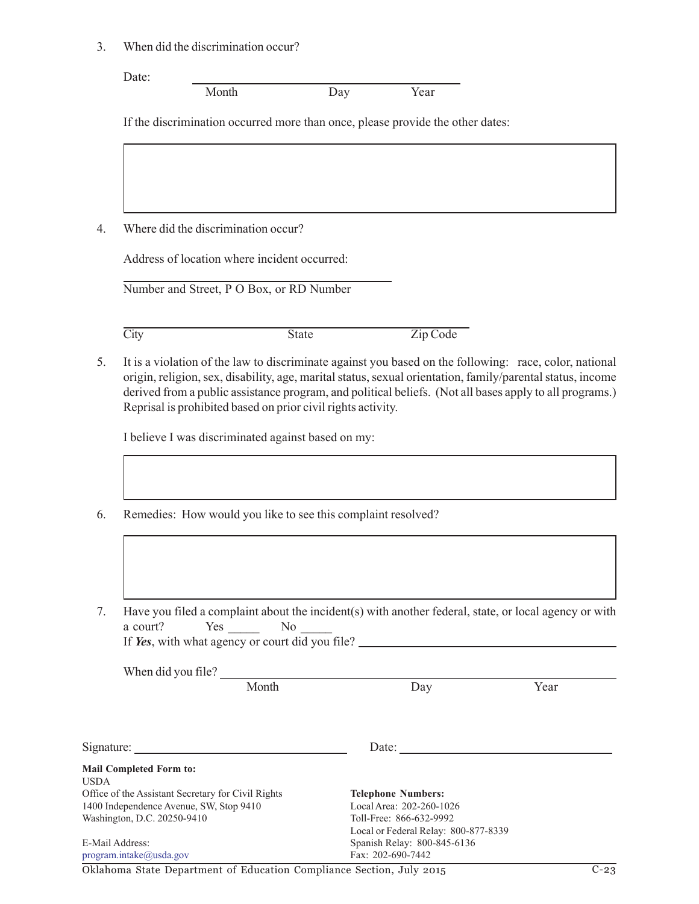3. When did the discrimination occur?

Date:

Month Day Year

If the discrimination occurred more than once, please provide the other dates:

4. Where did the discrimination occur?

Address of location where incident occurred:

Number and Street, P O Box, or RD Number

City State Zip Code

5. It is a violation of the law to discriminate against you based on the following: race, color, national origin, religion, sex, disability, age, marital status, sexual orientation, family/parental status, income derived from a public assistance program, and political beliefs. (Not all bases apply to all programs.) Reprisal is prohibited based on prior civil rights activity.

I believe I was discriminated against based on my:

- 6. Remedies: How would you like to see this complaint resolved?
- 7. Have you filed a complaint about the incident(s) with another federal, state, or local agency or with a court? Yes \_\_\_\_\_\_ No \_\_\_\_\_\_ If *Yes*, with what agency or court did you file?

When did you file?

Month Day Day Year

| Signature:                                         | Date:                                |
|----------------------------------------------------|--------------------------------------|
| <b>Mail Completed Form to:</b>                     |                                      |
| <b>USDA</b>                                        |                                      |
| Office of the Assistant Secretary for Civil Rights | <b>Telephone Numbers:</b>            |
| 1400 Independence Avenue, SW, Stop 9410            | Local Area: 202-260-1026             |
| Washington, D.C. 20250-9410                        | Toll-Free: 866-632-9992              |
|                                                    | Local or Federal Relay: 800-877-8339 |
| E-Mail Address:                                    | Spanish Relay: 800-845-6136          |
| program.intake@usda.gov                            | Fax: 202-690-7442                    |